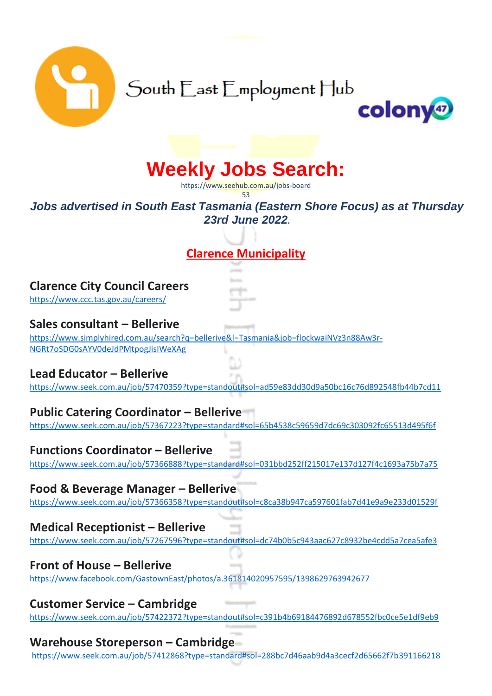

# **Weekly Jobs Search:**

<https://www.seehub.com.au/jobs-board>

53 *Jobs advertised in South East Tasmania (Eastern Shore Focus) as at Thursday 23rd June 2022***.**

# **Clarence Municipality**

**Clarence City Council Careers**

<https://www.ccc.tas.gov.au/careers/>

**Sales consultant – Bellerive** 

[https://www.simplyhired.com.au/search?q=bellerive&l=Tasmania&job=flockwaiNVz3n88Aw3r-](https://www.simplyhired.com.au/search?q=bellerive&l=Tasmania&job=flockwaiNVz3n88Aw3r-NGRt7oSDG0sAYV0deJdPMtpogJisIWeXAg)[NGRt7oSDG0sAYV0deJdPMtpogJisIWeXAg](https://www.simplyhired.com.au/search?q=bellerive&l=Tasmania&job=flockwaiNVz3n88Aw3r-NGRt7oSDG0sAYV0deJdPMtpogJisIWeXAg)

# **Lead Educator – Bellerive**

https://www.seek.com.au/job/57470359?type=standout#sol=ad59e83dd30d9a50bc16c76d892548fb44b7cd11

# **Public Catering Coordinator – Bellerive**

<https://www.seek.com.au/job/57367223?type=standard#sol=65b4538c59659d7dc69c303092fc65513d495f6f>

# **Functions Coordinator – Bellerive**

<https://www.seek.com.au/job/57366888?type=standard#sol=031bbd252ff215017e137d127f4c1693a75b7a75>

# **Food & Beverage Manager – Bellerive**

https://www.seek.com.au/job/57366358?type=standout#sol=c8ca38b947ca597601fab7d41e9a9e233d01529f

# **Medical Receptionist – Bellerive**

https://www.seek.com.au/job/57267596?type=standout#sol=dc74b0b5c943aac627c8932be4cdd5a7cea5afe3

# **Front of House – Bellerive**

<https://www.facebook.com/GastownEast/photos/a.361814020957595/1398629763942677>

# **Customer Service – Cambridge**

https://www.seek.com.au/job/57422372?type=standout#sol=c391b4b69184476892d678552fbc0ce5e1df9eb9

# **Warehouse Storeperson – Cambridge**

https://www.seek.com.au/job/57412868?type=standard#sol=288bc7d46aab9d4a3cecf2d65662f7b391166218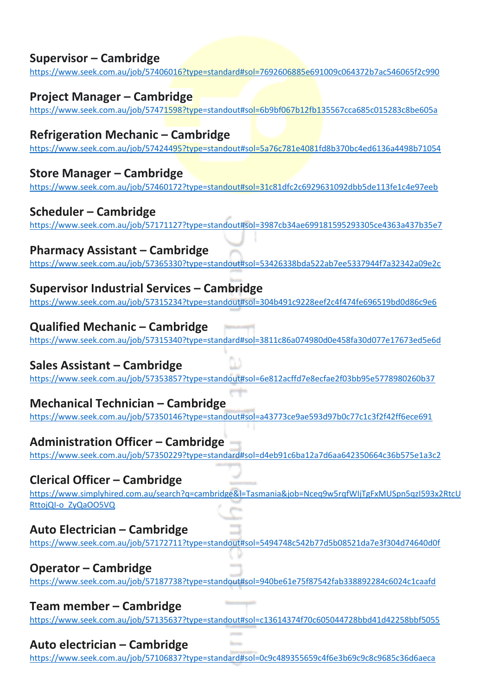# **Supervisor – Cambridge**

https://www.seek.com.au/job/57406016?type=standard#sol=7692606885e691009c064372b7ac546065f2c990

# **Project Manager – Cambridge**

https://www.seek.com.au/job/57471598?type=standout#sol=6b9bf067b12fb135567cca685c015283c8be605a

# **Refrigeration Mechanic – Cambridge**

https://www.seek.com.au/job/57424495?type=standout#sol=5a76c781e4081fd8b370bc4ed6136a4498b71054

#### **Store Manager – Cambridge**

https://www.seek.com.au/job/57460172?type=standout#sol=31c81dfc2c6929631092dbb5de113fe1c4e97eeb

# **Scheduler – Cambridge**

<https://www.seek.com.au/job/57171127?type=standout#sol=3987cb34ae699181595293305ce4363a437b35e7>

#### **Pharmacy Assistant – Cambridge**

<https://www.seek.com.au/job/57365330?type=standout#sol=53426338bda522ab7ee5337944f7a32342a09e2c>

#### **Supervisor Industrial Services – Cambridge**

<https://www.seek.com.au/job/57315234?type=standout#sol=304b491c9228eef2c4f474fe696519bd0d86c9e6>

#### **Qualified Mechanic – Cambridge**

https://www.seek.com.au/job/57315340?type=standard#sol=3811c86a074980d0e458fa30d077e17673ed5e6d

#### **Sales Assistant – Cambridge**

<https://www.seek.com.au/job/57353857?type=standout#sol=6e812acffd7e8ecfae2f03bb95e5778980260b37>

#### **Mechanical Technician – Cambridge**

https://www.seek.com.au/job/57350146?type=standout#sol=a43773ce9ae593d97b0c77c1c3f2f42ff6ece691

# **Administration Officer – Cambridge**

<https://www.seek.com.au/job/57350229?type=standard#sol=d4eb91c6ba12a7d6aa642350664c36b575e1a3c2>

#### **Clerical Officer – Cambridge**

https://www.simplyhired.com.au/search?q=cambridge&l=Tasmania&job=Nceq9w5rqfWIjTgFxMUSpn5qzI593x2RtcU RttojQI-o\_ZyQaOO5VQ

# **Auto Electrician – Cambridge**

<https://www.seek.com.au/job/57172711?type=standout#sol=5494748c542b77d5b08521da7e3f304d74640d0f>

# **Operator – Cambridge**

https://www.seek.com.au/job/57187738?type=standout#sol=940be61e75f87542fab338892284c6024c1caafd

#### **Team member – Cambridge**

https://www.seek.com.au/job/57135637?type=standout#sol=c13614374f70c605044728bbd41d42258bbf5055

# **Auto electrician – Cambridge**

<https://www.seek.com.au/job/57106837?type=standard#sol=0c9c489355659c4f6e3b69c9c8c9685c36d6aeca>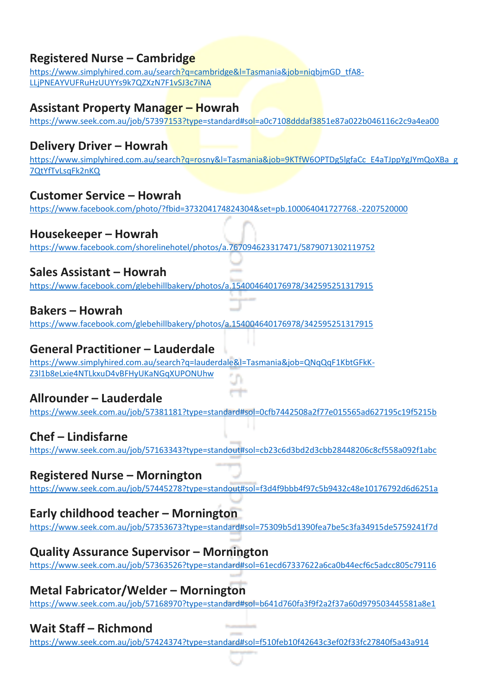# **Registered Nurse – Cambridge**

[https://www.simplyhired.com.au/search?q=cambridge&l=Tasmania&job=niqbjmGD\\_tfA8-](https://www.simplyhired.com.au/search?q=cambridge&l=Tasmania&job=niqbjmGD_tfA8-LLjPNEAYVUFRuHzUUYYs9k7QZXzN7F1vSJ3c7iNA) [LLjPNEAYVUFRuHzUUYYs9k7QZXzN7F1vSJ3c7iNA](https://www.simplyhired.com.au/search?q=cambridge&l=Tasmania&job=niqbjmGD_tfA8-LLjPNEAYVUFRuHzUUYYs9k7QZXzN7F1vSJ3c7iNA)

# **Assistant Property Manager – Howrah**

https://www.seek.com.au/job/57397153?type=standard#sol=a0c7108dddaf3851e87a022b046116c2c9a4ea00

#### **Delivery Driver – Howrah**

[https://www.simplyhired.com.au/search?q=rosny&l=Tasmania&job=9KTfW6OPTDg5lgfaCc\\_E4aTJppYgJYmQoXBa\\_g](https://www.simplyhired.com.au/search?q=rosny&l=Tasmania&job=9KTfW6OPTDg5lgfaCc_E4aTJppYgJYmQoXBa_g7QtYfTvLsqFk2nKQ) [7QtYfTvLsqFk2nKQ](https://www.simplyhired.com.au/search?q=rosny&l=Tasmania&job=9KTfW6OPTDg5lgfaCc_E4aTJppYgJYmQoXBa_g7QtYfTvLsqFk2nKQ)

# **Customer Service – Howrah**

<https://www.facebook.com/photo/?fbid=373204174824304&set=pb.100064041727768.-2207520000>

#### **Housekeeper – Howrah**

<https://www.facebook.com/shorelinehotel/photos/a.767094623317471/5879071302119752>

#### **Sales Assistant – Howrah**

<https://www.facebook.com/glebehillbakery/photos/a.154004640176978/342595251317915>

#### **Bakers – Howrah**

https://www.facebook.com/glebehillbakery/photos/a.154004640176978/342595251317915

#### **General Practitioner – Lauderdale**

[https://www.simplyhired.com.au/search?q=lauderdale&l=Tasmania&job=QNqQqF1KbtGFkK-](https://www.simplyhired.com.au/search?q=lauderdale&l=Tasmania&job=QNqQqF1KbtGFkK-Z3l1b8eLxie4NTLkxuD4vBFHyUKaNGqXUPONUhw)[Z3l1b8eLxie4NTLkxuD4vBFHyUKaNGqXUPONUhw](https://www.simplyhired.com.au/search?q=lauderdale&l=Tasmania&job=QNqQqF1KbtGFkK-Z3l1b8eLxie4NTLkxuD4vBFHyUKaNGqXUPONUhw)

# **Allrounder – Lauderdale**

https://www.seek.com.au/job/57381181?type=standard#sol=0cfb7442508a2f77e015565ad627195c19f5215b

مهمع

#### **Chef – Lindisfarne**

<https://www.seek.com.au/job/57163343?type=standout#sol=cb23c6d3bd2d3cbb28448206c8cf558a092f1abc>

#### **Registered Nurse – Mornington**

https://www.seek.com.au/job/57445278?type=standout#sol=f3d4f9bbb4f97c5b9432c48e10176792d6d6251a

# **Early childhood teacher – Mornington**

<https://www.seek.com.au/job/57353673?type=standard#sol=75309b5d1390fea7be5c3fa34915de5759241f7d>

#### **Quality Assurance Supervisor – Mornington**

https://www.seek.com.au/job/57363526?type=standard#sol=61ecd67337622a6ca0b44ecf6c5adcc805c79116

# **Metal Fabricator/Welder – Mornington**

https://www.seek.com.au/job/57168970?type=standard#sol=b641d760fa3f9f2a2f37a60d979503445581a8e1

# **Wait Staff – Richmond**

<https://www.seek.com.au/job/57424374?type=standard#sol=f510feb10f42643c3ef02f33fc27840f5a43a914>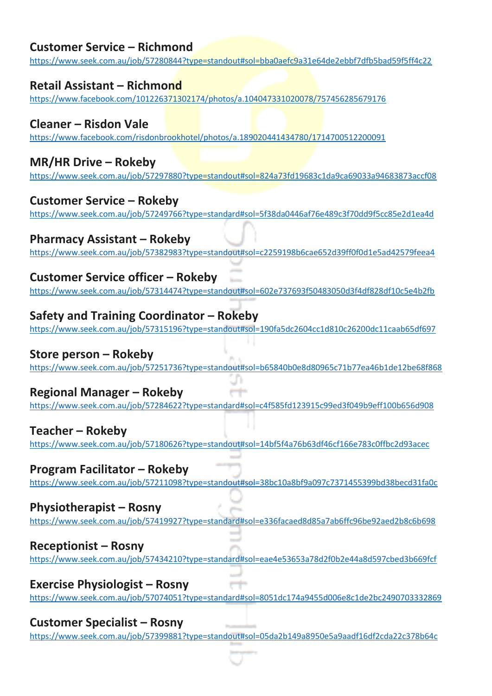# **Customer Service – Richmond**

<https://www.seek.com.au/job/57280844?type=standout#sol=bba0aefc9a31e64de2ebbf7dfb5bad59f5ff4c22>

# **Retail Assistant – Richmond**

https://www.facebook.com/101226371302174/photos/a.104047331020078/757456285679176

# **Cleaner – Risdon Vale**

<https://www.facebook.com/risdonbrookhotel/photos/a.189020441434780/1714700512200091>

# **MR/HR Drive – Rokeby**

<https://www.seek.com.au/job/57297880?type=standout#sol=824a73fd19683c1da9ca69033a94683873accf08>

# **Customer Service – Rokeby**

<https://www.seek.com.au/job/57249766?type=standard#sol=5f38da0446af76e489c3f70dd9f5cc85e2d1ea4d>

# **Pharmacy Assistant – Rokeby**

https://www.seek.com.au/job/57382983?type=standout#sol=c2259198b6cae652d39ff0f0d1e5ad42579feea4

# **Customer Service officer – Rokeby**

<https://www.seek.com.au/job/57314474?type=standout#sol=602e737693f50483050d3f4df828df10c5e4b2fb>

# **Safety and Training Coordinator – Rokeby**

https://www.seek.com.au/job/57315196?type=standout#sol=190fa5dc2604cc1d810c26200dc11caab65df697

# **Store person – Rokeby**

https://www.seek.com.au/job/57251736?type=standout#sol=b65840b0e8d80965c71b77ea46b1de12be68f868

# **Regional Manager – Rokeby**

https://www.seek.com.au/job/57284622?type=standard#sol=c4f585fd123915c99ed3f049b9eff100b656d908

# **Teacher – Rokeby**

https://www.seek.com.au/job/57180626?type=standout#sol=14bf5f4a76b63df46cf166e783c0ffbc2d93acec

# **Program Facilitator – Rokeby**

<https://www.seek.com.au/job/57211098?type=standout#sol=38bc10a8bf9a097c7371455399bd38becd31fa0c>

# **Physiotherapist – Rosny**

<https://www.seek.com.au/job/57419927?type=standard#sol=e336facaed8d85a7ab6ffc96be92aed2b8c6b698>

# **Receptionist – Rosny**

https://www.seek.com.au/job/57434210?type=standard#sol=eae4e53653a78d2f0b2e44a8d597cbed3b669fcf

# **Exercise Physiologist – Rosny**

https://www.seek.com.au/job/57074051?type=standard#sol=8051dc174a9455d006e8c1de2bc2490703332869

# **Customer Specialist – Rosny**

https://www.seek.com.au/job/57399881?type=standout#sol=05da2b149a8950e5a9aadf16df2cda22c378b64c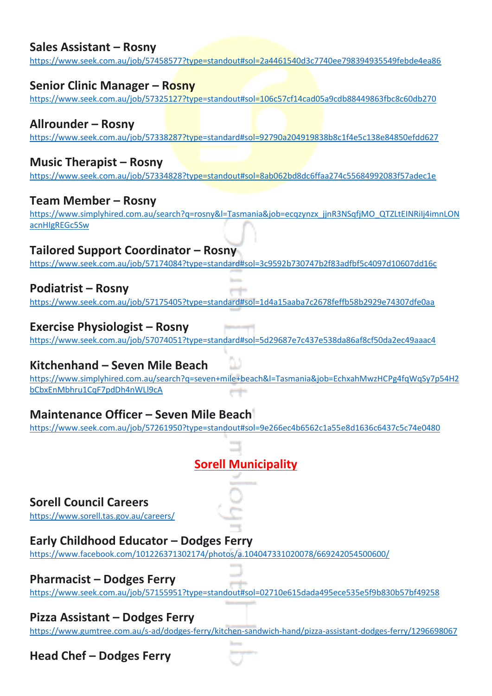# **Sales Assistant – Rosny**

https://www.seek.com.au/job/57458577?type=standout#sol=2a4461540d3c7740ee798394935549febde4ea86

#### **Senior Clinic Manager – Rosny**

<https://www.seek.com.au/job/57325127?type=standout#sol=106c57cf14cad05a9cdb88449863fbc8c60db270>

# **Allrounder – Rosny**

https://www.seek.com.au/job/57338287?type=standard#sol=92790a204919838b8c1f4e5c138e84850efdd627

### **Music Therapist – Rosny**

https://www.seek.com.au/job/57334828?type=standout#sol=8ab062bd8dc6ffaa274c55684992083f57adec1e

#### **Team Member – Rosny**

[https://www.simplyhired.com.au/search?q=rosny&l=Tasmania&job=ecqzynzx\\_jjnR3NSqfjMO\\_QTZLtEINRiIj4imnLON](https://www.simplyhired.com.au/search?q=rosny&l=Tasmania&job=ecqzynzx_jjnR3NSqfjMO_QTZLtEINRiIj4imnLONacnHIgREGc5Sw) [acnHIgREGc5Sw](https://www.simplyhired.com.au/search?q=rosny&l=Tasmania&job=ecqzynzx_jjnR3NSqfjMO_QTZLtEINRiIj4imnLONacnHIgREGc5Sw)

# **Tailored Support Coordinator – Rosny**

https://www.seek.com.au/job/57174084?type=standard#sol=3c9592b730747b2f83adfbf5c4097d10607dd16c

#### **Podiatrist – Rosny**

https://www.seek.com.au/job/57175405?type=standard#sol=1d4a15aaba7c2678feffb58b2929e74307dfe0aa

# **Exercise Physiologist – Rosny**

https://www.seek.com.au/job/57074051?type=standard#sol=5d29687e7c437e538da86af8cf50da2ec49aaac4

#### **Kitchenhand – Seven Mile Beach**

[https://www.simplyhired.com.au/search?q=seven+mile+beach&l=Tasmania&job=EchxahMwzHCPg4fqWqSy7p54H2](https://www.simplyhired.com.au/search?q=seven+mile+beach&l=Tasmania&job=EchxahMwzHCPg4fqWqSy7p54H2bCbxEnMbhru1CqF7pdDh4nWLl9cA) [bCbxEnMbhru1CqF7pdDh4nWLl9cA](https://www.simplyhired.com.au/search?q=seven+mile+beach&l=Tasmania&job=EchxahMwzHCPg4fqWqSy7p54H2bCbxEnMbhru1CqF7pdDh4nWLl9cA)

# **Maintenance Officer – Seven Mile Beach**

https://www.seek.com.au/job/57261950?type=standout#sol=9e266ec4b6562c1a55e8d1636c6437c5c74e0480

# **Sorell Municipality**

**Sorell Council Careers** 

<https://www.sorell.tas.gov.au/careers/>

# **Early Childhood Educator – Dodges Ferry**

<https://www.facebook.com/101226371302174/photos/a.104047331020078/669242054500600/>

#### **Pharmacist – Dodges Ferry**

<https://www.seek.com.au/job/57155951?type=standout#sol=02710e615dada495ece535e5f9b830b57bf49258>

# **Pizza Assistant – Dodges Ferry**

<https://www.gumtree.com.au/s-ad/dodges-ferry/kitchen-sandwich-hand/pizza-assistant-dodges-ferry/1296698067>

# **Head Chef – Dodges Ferry**

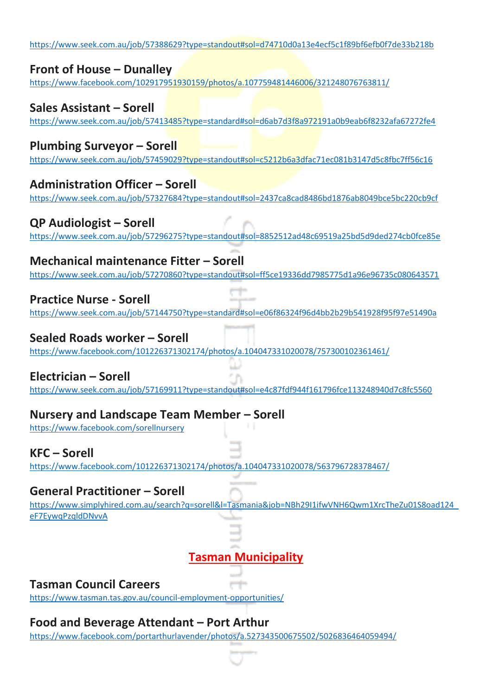https://www.seek.com.au/job/57388629?type=standout#sol=d74710d0a13e4ecf5c1f89bf6efb0f7de33b218b

# **Front of House – Dunalley**

<https://www.facebook.com/102917951930159/photos/a.107759481446006/321248076763811/>

# **Sales Assistant – Sorell**

https://www.seek.com.au/job/57413485?type=standard#sol=d6ab7d3f8a972191a0b9eab6f8232afa67272fe4

# **Plumbing Surveyor – Sorell**

https://www.seek.com.au/job/57459029?type=standout#sol=c5212b6a3dfac71ec081b3147d5c8fbc7ff56c16

# **Administration Officer – Sorell**

https://www.seek.com.au/job/57327684?type=standout#sol=2437ca8cad8486bd1876ab8049bce5bc220cb9cf

# **QP Audiologist – Sorell**

<https://www.seek.com.au/job/57296275?type=standout#sol=8852512ad48c69519a25bd5d9ded274cb0fce85e>

# **Mechanical maintenance Fitter – Sorell**

https://www.seek.com.au/job/57270860?type=standout#sol=ff5ce19336dd7985775d1a96e96735c080643571

# **Practice Nurse - Sorell**

<https://www.seek.com.au/job/57144750?type=standard#sol=e06f86324f96d4bb2b29b541928f95f97e51490a>

# **Sealed Roads worker – Sorell**

https://www.facebook.com/101226371302174/photos/a.104047331020078/757300102361461/

# **Electrician – Sorell**

https://www.seek.com.au/job/57169911?type=standout#sol=e4c87fdf944f161796fce113248940d7c8fc5560

# **Nursery and Landscape Team Member – Sorell**

https://www.facebook.com/sorellnursery

# **KFC – Sorell**

<https://www.facebook.com/101226371302174/photos/a.104047331020078/563796728378467/>

# **General Practitioner – Sorell**

[https://www.simplyhired.com.au/search?q=sorell&l=Tasmania&job=NBh29I1ifwVNH6Qwm1XrcTheZu01S8oad124\\_](https://www.simplyhired.com.au/search?q=sorell&l=Tasmania&job=NBh29I1ifwVNH6Qwm1XrcTheZu01S8oad124_eF7EywqPzqldDNvvA) [eF7EywqPzqldDNvvA](https://www.simplyhired.com.au/search?q=sorell&l=Tasmania&job=NBh29I1ifwVNH6Qwm1XrcTheZu01S8oad124_eF7EywqPzqldDNvvA)

# **Tasman Municipality**

# **Tasman Council Careers**

<https://www.tasman.tas.gov.au/council-employment-opportunities/>

# **Food and Beverage Attendant – Port Arthur**

<https://www.facebook.com/portarthurlavender/photos/a.527343500675502/5026836464059494/>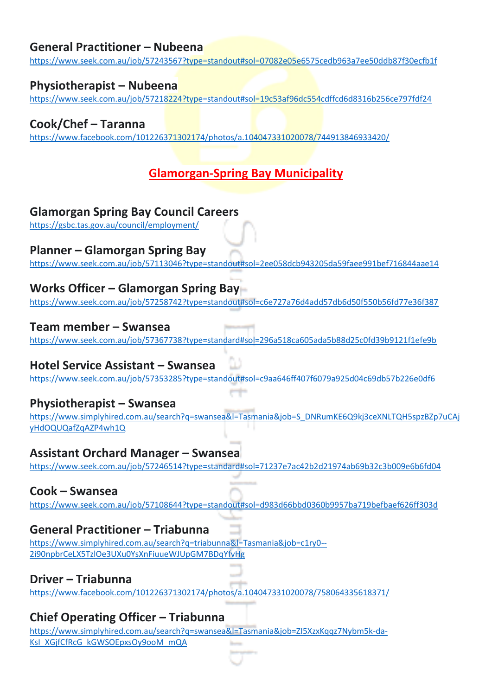# **General Practitioner – Nubeena**

<https://www.seek.com.au/job/57243567?type=standout#sol=07082e05e6575cedb963a7ee50ddb87f30ecfb1f>

# **Physiotherapist – Nubeena**

https://www.seek.com.au/job/57218224?type=standout#sol=19c53af96dc554cdffcd6d8316b256ce797fdf24

# **Cook/Chef – Taranna**

https://www.facebook.com/101226371302174/photos/a.104047331020078/744913846933420/

# **Glamorgan-Spring Bay Municipality**

# **Glamorgan Spring Bay Council Careers**

<https://gsbc.tas.gov.au/council/employment/>

#### **Planner – Glamorgan Spring Bay**

<https://www.seek.com.au/job/57113046?type=standout#sol=2ee058dcb943205da59faee991bef716844aae14>

#### **Works Officer – Glamorgan Spring Bay**

https://www.seek.com.au/job/57258742?type=standout#sol=c6e727a76d4add57db6d50f550b56fd77e36f387

#### **Team member – Swansea**

<https://www.seek.com.au/job/57367738?type=standard#sol=296a518ca605ada5b88d25c0fd39b9121f1efe9b>

#### **Hotel Service Assistant – Swansea**

https://www.seek.com.au/job/57353285?type=standout#sol=c9aa646ff407f6079a925d04c69db57b226e0df6

#### **Physiotherapist – Swansea**

[https://www.simplyhired.com.au/search?q=swansea&l=Tasmania&job=S\\_DNRumKE6Q9kj3ceXNLTQH5spzBZp7uCAj](https://www.simplyhired.com.au/search?q=swansea&l=Tasmania&job=S_DNRumKE6Q9kj3ceXNLTQH5spzBZp7uCAjyHdOQUQafZqAZP4wh1Q) [yHdOQUQafZqAZP4wh1Q](https://www.simplyhired.com.au/search?q=swansea&l=Tasmania&job=S_DNRumKE6Q9kj3ceXNLTQH5spzBZp7uCAjyHdOQUQafZqAZP4wh1Q)

#### **Assistant Orchard Manager – Swansea**

https://www.seek.com.au/job/57246514?type=standard#sol=71237e7ac42b2d21974ab69b32c3b009e6b6fd04

#### **Cook – Swansea**

<https://www.seek.com.au/job/57108644?type=standout#sol=d983d66bbd0360b9957ba719befbaef626ff303d>

# **General Practitioner – Triabunna**

[https://www.simplyhired.com.au/search?q=triabunna&l=Tasmania&job=c1ry0--](https://www.simplyhired.com.au/search?q=triabunna&l=Tasmania&job=c1ry0--2i90npbrCeLX5TzlOe3UXu0YsXnFiuueWJUpGM7BDqYfvHg) [2i90npbrCeLX5TzlOe3UXu0YsXnFiuueWJUpGM7BDqYfvHg](https://www.simplyhired.com.au/search?q=triabunna&l=Tasmania&job=c1ry0--2i90npbrCeLX5TzlOe3UXu0YsXnFiuueWJUpGM7BDqYfvHg)

# **Driver – Triabunna**

https://www.facebook.com/101226371302174/photos/a.104047331020078/758064335618371/

# **Chief Operating Officer – Triabunna**

[https://www.simplyhired.com.au/search?q=swansea&l=Tasmania&job=ZI5XzxKqqz7Nybm5k-da-](https://www.simplyhired.com.au/search?q=swansea&l=Tasmania&job=ZI5XzxKqqz7Nybm5k-da-KsI_XGjfCfRcG_kGWSOEpxsOy9ooM_mQA)[KsI\\_XGjfCfRcG\\_kGWSOEpxsOy9ooM\\_mQA](https://www.simplyhired.com.au/search?q=swansea&l=Tasmania&job=ZI5XzxKqqz7Nybm5k-da-KsI_XGjfCfRcG_kGWSOEpxsOy9ooM_mQA)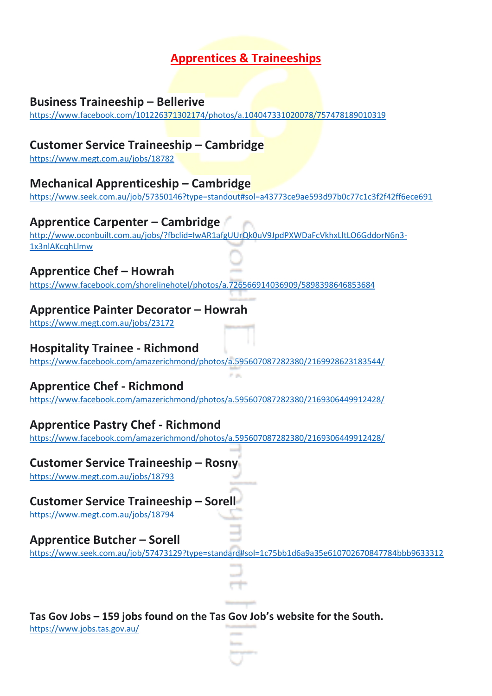# **Apprentices & Traineeships**

#### **Business Traineeship – Bellerive**

https://www.facebook.com/101226371302174/photos/a.104047331020078/757478189010319

# **Customer Service Traineeship – Cambridge**

<https://www.megt.com.au/jobs/18782>

# **Mechanical Apprenticeship – Cambridge**

<https://www.seek.com.au/job/57350146?type=standout#sol=a43773ce9ae593d97b0c77c1c3f2f42ff6ece691>

# **Apprentice Carpenter – Cambridge**

http://www.oconbuilt.com.au/jobs/?fbclid=IwAR1afgUUrQk0uV9JpdPXWDaFcVkhxLltLO6GddorN6n3- 1x3nlAKcqhLlmw

# **Apprentice Chef – Howrah**

<https://www.facebook.com/shorelinehotel/photos/a.726566914036909/5898398646853684>

#### **Apprentice Painter Decorator – Howrah**

https://www.megt.com.au/jobs/23172

#### **Hospitality Trainee - Richmond**

<https://www.facebook.com/amazerichmond/photos/a.595607087282380/2169928623183544/>

# **Apprentice Chef - Richmond**

https://www.facebook.com/amazerichmond/photos/a.595607087282380/2169306449912428/

# **Apprentice Pastry Chef - Richmond**

https://www.facebook.com/amazerichmond/photos/a.595607087282380/2169306449912428/

#### **Customer Service Traineeship – Rosny**

<https://www.megt.com.au/jobs/18793>

# **Customer Service Traineeship – Sorell**

<https://www.megt.com.au/jobs/18794>

# **Apprentice Butcher – Sorell**

https://www.seek.com.au/job/57473129?type=standard#sol=1c75bb1d6a9a35e610702670847784bbb9633312

# **Tas Gov Jobs – 159 jobs found on the Tas Gov Job's website for the South.**

<https://www.jobs.tas.gov.au/>